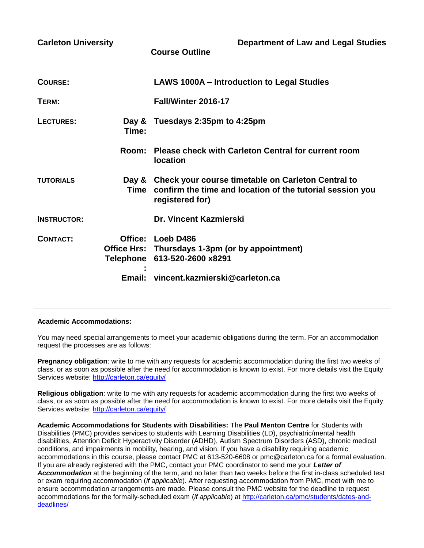| <b>Carleton University</b> |        | <b>Department of Law and Legal Studies</b><br><b>Course Outline</b>                                                                           |
|----------------------------|--------|-----------------------------------------------------------------------------------------------------------------------------------------------|
| <b>COURSE:</b>             |        | LAWS 1000A - Introduction to Legal Studies                                                                                                    |
| TERM:                      |        | Fall/Winter 2016-17                                                                                                                           |
| LECTURES:                  | Time:  | Day & Tuesdays 2:35pm to 4:25pm                                                                                                               |
|                            | Room:  | Please check with Carleton Central for current room<br><b>location</b>                                                                        |
| <b>TUTORIALS</b>           |        | Day & Check your course timetable on Carleton Central to<br>Time confirm the time and location of the tutorial session you<br>registered for) |
| <b>INSTRUCTOR:</b>         |        | <b>Dr. Vincent Kazmierski</b>                                                                                                                 |
| <b>CONTACT:</b>            |        | Office: Loeb D486<br>Office Hrs: Thursdays 1-3pm (or by appointment)<br>Telephone 613-520-2600 x8291                                          |
|                            | Email: | vincent.kazmierski@carleton.ca                                                                                                                |

#### **Academic Accommodations:**

You may need special arrangements to meet your academic obligations during the term. For an accommodation request the processes are as follows:

**Pregnancy obligation**: write to me with any requests for academic accommodation during the first two weeks of class, or as soon as possible after the need for accommodation is known to exist. For more details visit the Equity Services website:<http://carleton.ca/equity/>

**Religious obligation**: write to me with any requests for academic accommodation during the first two weeks of class, or as soon as possible after the need for accommodation is known to exist. For more details visit the Equity Services website:<http://carleton.ca/equity/>

**Academic Accommodations for Students with Disabilities:** The **Paul Menton Centre** for Students with Disabilities (PMC) provides services to students with Learning Disabilities (LD), psychiatric/mental health disabilities, Attention Deficit Hyperactivity Disorder (ADHD), Autism Spectrum Disorders (ASD), chronic medical conditions, and impairments in mobility, hearing, and vision. If you have a disability requiring academic accommodations in this course, please contact PMC at 613-520-6608 or pmc@carleton.ca for a formal evaluation. If you are already registered with the PMC, contact your PMC coordinator to send me your *Letter of Accommodation* at the beginning of the term, and no later than two weeks before the first in-class scheduled test or exam requiring accommodation (*if applicable*). After requesting accommodation from PMC, meet with me to ensure accommodation arrangements are made. Please consult the PMC website for the deadline to request accommodations for the formally-scheduled exam (*if applicable*) at [http://carleton.ca/pmc/students/dates-and](http://carleton.ca/pmc/students/dates-and-deadlines/)[deadlines/](http://carleton.ca/pmc/students/dates-and-deadlines/)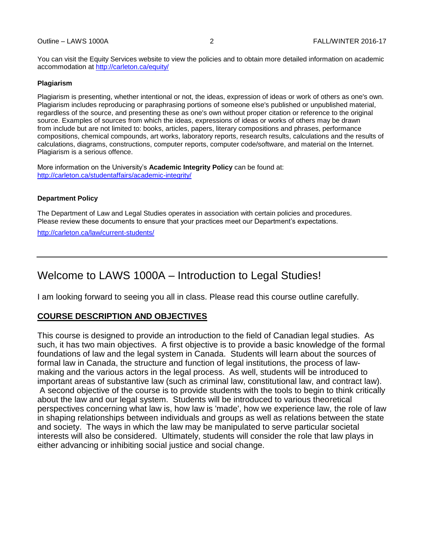You can visit the Equity Services website to view the policies and to obtain more detailed information on academic accommodation at<http://carleton.ca/equity/>

#### **Plagiarism**

Plagiarism is presenting, whether intentional or not, the ideas, expression of ideas or work of others as one's own. Plagiarism includes reproducing or paraphrasing portions of someone else's published or unpublished material, regardless of the source, and presenting these as one's own without proper citation or reference to the original source. Examples of sources from which the ideas, expressions of ideas or works of others may be drawn from include but are not limited to: books, articles, papers, literary compositions and phrases, performance compositions, chemical compounds, art works, laboratory reports, research results, calculations and the results of calculations, diagrams, constructions, computer reports, computer code/software, and material on the Internet. Plagiarism is a serious offence.

More information on the University's **Academic Integrity Policy** can be found at: <http://carleton.ca/studentaffairs/academic-integrity/>

#### **Department Policy**

The Department of Law and Legal Studies operates in association with certain policies and procedures. Please review these documents to ensure that your practices meet our Department's expectations.

<http://carleton.ca/law/current-students/>

# Welcome to LAWS 1000A – Introduction to Legal Studies!

I am looking forward to seeing you all in class. Please read this course outline carefully.

### **COURSE DESCRIPTION AND OBJECTIVES**

This course is designed to provide an introduction to the field of Canadian legal studies. As such, it has two main objectives. A first objective is to provide a basic knowledge of the formal foundations of law and the legal system in Canada. Students will learn about the sources of formal law in Canada, the structure and function of legal institutions, the process of lawmaking and the various actors in the legal process. As well, students will be introduced to important areas of substantive law (such as criminal law, constitutional law, and contract law). A second objective of the course is to provide students with the tools to begin to think critically about the law and our legal system. Students will be introduced to various theoretical perspectives concerning what law is, how law is 'made', how we experience law, the role of law in shaping relationships between individuals and groups as well as relations between the state and society. The ways in which the law may be manipulated to serve particular societal interests will also be considered. Ultimately, students will consider the role that law plays in either advancing or inhibiting social justice and social change.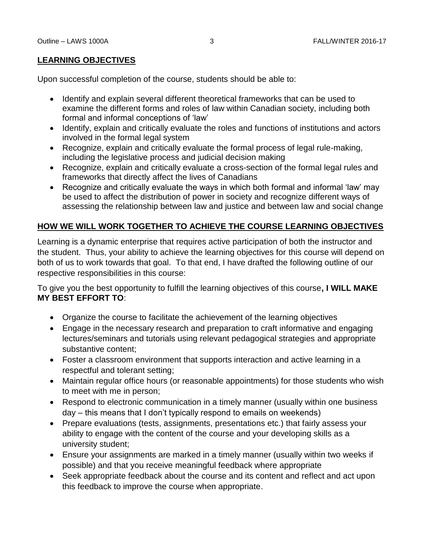## **LEARNING OBJECTIVES**

Upon successful completion of the course, students should be able to:

- Identify and explain several different theoretical frameworks that can be used to examine the different forms and roles of law within Canadian society, including both formal and informal conceptions of 'law'
- Identify, explain and critically evaluate the roles and functions of institutions and actors involved in the formal legal system
- Recognize, explain and critically evaluate the formal process of legal rule-making, including the legislative process and judicial decision making
- Recognize, explain and critically evaluate a cross-section of the formal legal rules and frameworks that directly affect the lives of Canadians
- Recognize and critically evaluate the ways in which both formal and informal 'law' may be used to affect the distribution of power in society and recognize different ways of assessing the relationship between law and justice and between law and social change

## **HOW WE WILL WORK TOGETHER TO ACHIEVE THE COURSE LEARNING OBJECTIVES**

Learning is a dynamic enterprise that requires active participation of both the instructor and the student. Thus, your ability to achieve the learning objectives for this course will depend on both of us to work towards that goal. To that end, I have drafted the following outline of our respective responsibilities in this course:

To give you the best opportunity to fulfill the learning objectives of this course**, I WILL MAKE MY BEST EFFORT TO**:

- Organize the course to facilitate the achievement of the learning objectives
- Engage in the necessary research and preparation to craft informative and engaging lectures/seminars and tutorials using relevant pedagogical strategies and appropriate substantive content;
- Foster a classroom environment that supports interaction and active learning in a respectful and tolerant setting;
- Maintain regular office hours (or reasonable appointments) for those students who wish to meet with me in person;
- Respond to electronic communication in a timely manner (usually within one business day – this means that I don't typically respond to emails on weekends)
- Prepare evaluations (tests, assignments, presentations etc.) that fairly assess your ability to engage with the content of the course and your developing skills as a university student;
- Ensure your assignments are marked in a timely manner (usually within two weeks if possible) and that you receive meaningful feedback where appropriate
- Seek appropriate feedback about the course and its content and reflect and act upon this feedback to improve the course when appropriate.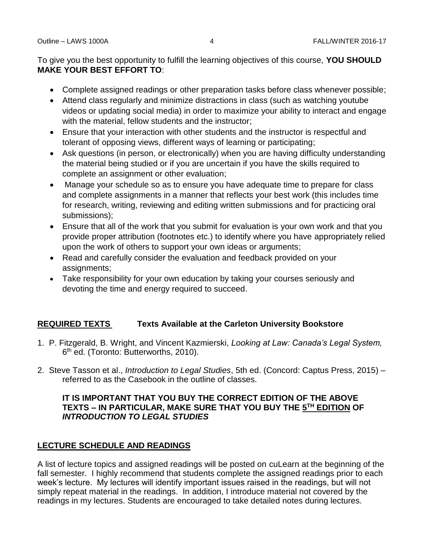To give you the best opportunity to fulfill the learning objectives of this course, **YOU SHOULD MAKE YOUR BEST EFFORT TO**:

- Complete assigned readings or other preparation tasks before class whenever possible;
- Attend class regularly and minimize distractions in class (such as watching youtube videos or updating social media) in order to maximize your ability to interact and engage with the material, fellow students and the instructor;
- Ensure that your interaction with other students and the instructor is respectful and tolerant of opposing views, different ways of learning or participating;
- Ask questions (in person, or electronically) when you are having difficulty understanding the material being studied or if you are uncertain if you have the skills required to complete an assignment or other evaluation;
- Manage your schedule so as to ensure you have adequate time to prepare for class and complete assignments in a manner that reflects your best work (this includes time for research, writing, reviewing and editing written submissions and for practicing oral submissions);
- Ensure that all of the work that you submit for evaluation is your own work and that you provide proper attribution (footnotes etc.) to identify where you have appropriately relied upon the work of others to support your own ideas or arguments;
- Read and carefully consider the evaluation and feedback provided on your assignments;
- Take responsibility for your own education by taking your courses seriously and devoting the time and energy required to succeed.

## **REQUIRED TEXTS Texts Available at the Carleton University Bookstore**

- 1. P. Fitzgerald, B. Wright, and Vincent Kazmierski, *Looking at Law: Canada's Legal System,*  6<sup>th</sup> ed. (Toronto: Butterworths, 2010).
- 2. Steve Tasson et al., *Introduction to Legal Studies*, 5th ed. (Concord: Captus Press, 2015) referred to as the Casebook in the outline of classes.

### **IT IS IMPORTANT THAT YOU BUY THE CORRECT EDITION OF THE ABOVE TEXTS – IN PARTICULAR, MAKE SURE THAT YOU BUY THE 5 TH EDITION OF**  *INTRODUCTION TO LEGAL STUDIES*

## **LECTURE SCHEDULE AND READINGS**

A list of lecture topics and assigned readings will be posted on cuLearn at the beginning of the fall semester. I highly recommend that students complete the assigned readings prior to each week's lecture. My lectures will identify important issues raised in the readings, but will not simply repeat material in the readings. In addition, I introduce material not covered by the readings in my lectures. Students are encouraged to take detailed notes during lectures.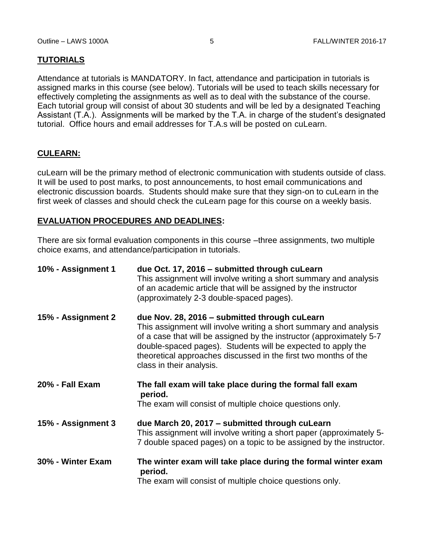## **TUTORIALS**

Attendance at tutorials is MANDATORY. In fact, attendance and participation in tutorials is assigned marks in this course (see below). Tutorials will be used to teach skills necessary for effectively completing the assignments as well as to deal with the substance of the course. Each tutorial group will consist of about 30 students and will be led by a designated Teaching Assistant (T.A.). Assignments will be marked by the T.A. in charge of the student's designated tutorial. Office hours and email addresses for T.A.s will be posted on cuLearn.

## **CULEARN:**

cuLearn will be the primary method of electronic communication with students outside of class. It will be used to post marks, to post announcements, to host email communications and electronic discussion boards. Students should make sure that they sign-on to cuLearn in the first week of classes and should check the cuLearn page for this course on a weekly basis.

## **EVALUATION PROCEDURES AND DEADLINES:**

There are six formal evaluation components in this course –three assignments, two multiple choice exams, and attendance/participation in tutorials.

| 10% - Assignment 1 | due Oct. 17, 2016 - submitted through cuLearn<br>This assignment will involve writing a short summary and analysis<br>of an academic article that will be assigned by the instructor<br>(approximately 2-3 double-spaced pages).                                                                                                                          |
|--------------------|-----------------------------------------------------------------------------------------------------------------------------------------------------------------------------------------------------------------------------------------------------------------------------------------------------------------------------------------------------------|
| 15% - Assignment 2 | due Nov. 28, 2016 - submitted through cuLearn<br>This assignment will involve writing a short summary and analysis<br>of a case that will be assigned by the instructor (approximately 5-7<br>double-spaced pages). Students will be expected to apply the<br>theoretical approaches discussed in the first two months of the<br>class in their analysis. |
| 20% - Fall Exam    | The fall exam will take place during the formal fall exam<br>period.<br>The exam will consist of multiple choice questions only.                                                                                                                                                                                                                          |
| 15% - Assignment 3 | due March 20, 2017 – submitted through cuLearn<br>This assignment will involve writing a short paper (approximately 5-<br>7 double spaced pages) on a topic to be assigned by the instructor.                                                                                                                                                             |
| 30% - Winter Exam  | The winter exam will take place during the formal winter exam<br>period.<br>The exam will consist of multiple choice questions only.                                                                                                                                                                                                                      |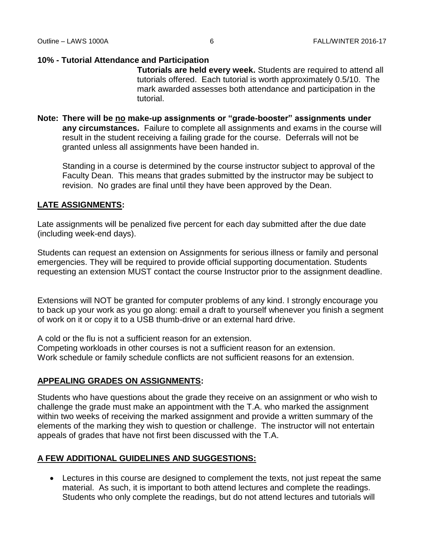#### **10% - Tutorial Attendance and Participation**

**Tutorials are held every week.** Students are required to attend all tutorials offered. Each tutorial is worth approximately 0.5/10. The mark awarded assesses both attendance and participation in the tutorial.

**Note: There will be no make-up assignments or "grade-booster" assignments under any circumstances.** Failure to complete all assignments and exams in the course will result in the student receiving a failing grade for the course. Deferrals will not be granted unless all assignments have been handed in.

Standing in a course is determined by the course instructor subject to approval of the Faculty Dean. This means that grades submitted by the instructor may be subject to revision. No grades are final until they have been approved by the Dean.

### **LATE ASSIGNMENTS:**

Late assignments will be penalized five percent for each day submitted after the due date (including week-end days).

Students can request an extension on Assignments for serious illness or family and personal emergencies. They will be required to provide official supporting documentation. Students requesting an extension MUST contact the course Instructor prior to the assignment deadline.

Extensions will NOT be granted for computer problems of any kind. I strongly encourage you to back up your work as you go along: email a draft to yourself whenever you finish a segment of work on it or copy it to a USB thumb-drive or an external hard drive.

A cold or the flu is not a sufficient reason for an extension.

Competing workloads in other courses is not a sufficient reason for an extension. Work schedule or family schedule conflicts are not sufficient reasons for an extension.

### **APPEALING GRADES ON ASSIGNMENTS:**

Students who have questions about the grade they receive on an assignment or who wish to challenge the grade must make an appointment with the T.A. who marked the assignment within two weeks of receiving the marked assignment and provide a written summary of the elements of the marking they wish to question or challenge. The instructor will not entertain appeals of grades that have not first been discussed with the T.A.

### **A FEW ADDITIONAL GUIDELINES AND SUGGESTIONS:**

 Lectures in this course are designed to complement the texts, not just repeat the same material. As such, it is important to both attend lectures and complete the readings. Students who only complete the readings, but do not attend lectures and tutorials will